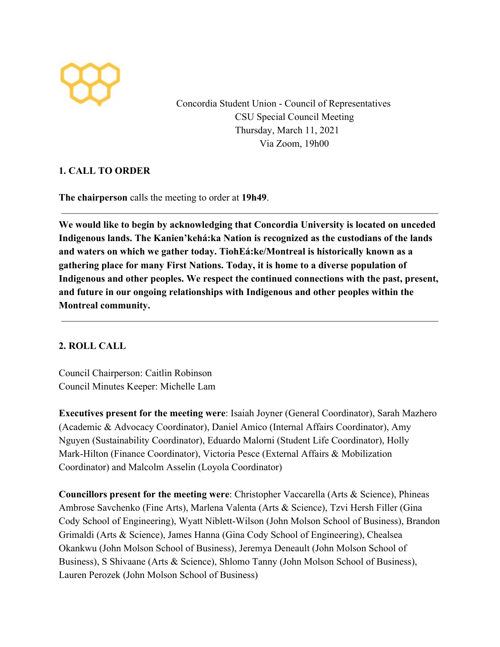

Concordia Student Union - Council of Representatives CSU Special Council Meeting Thursday, March 11, 2021 Via Zoom, 19h00

# **1. CALL TO ORDER**

**The chairperson** calls the meeting to order at **19h49**.

**We would like to begin by acknowledging that Concordia University is located on unceded Indigenous lands. The Kanien'kehá:ka Nation is recognized as the custodians of the lands and waters on which we gather today. TiohEá:ke/Montreal is historically known as a gathering place for many First Nations. Today, it is home to a diverse population of Indigenous and other peoples. We respect the continued connections with the past, present, and future in our ongoing relationships with Indigenous and other peoples within the Montreal community.**

# **2. ROLL CALL**

Council Chairperson: Caitlin Robinson Council Minutes Keeper: Michelle Lam

**Executives present for the meeting were**: Isaiah Joyner (General Coordinator), Sarah Mazhero (Academic & Advocacy Coordinator), Daniel Amico (Internal Affairs Coordinator), Amy Nguyen (Sustainability Coordinator), Eduardo Malorni (Student Life Coordinator), Holly Mark-Hilton (Finance Coordinator), Victoria Pesce (External Affairs & Mobilization Coordinator) and Malcolm Asselin (Loyola Coordinator)

**Councillors present for the meeting were**: Christopher Vaccarella (Arts & Science), Phineas Ambrose Savchenko (Fine Arts), Marlena Valenta (Arts & Science), Tzvi Hersh Filler (Gina Cody School of Engineering), Wyatt Niblett-Wilson (John Molson School of Business), Brandon Grimaldi (Arts & Science), James Hanna (Gina Cody School of Engineering), Chealsea Okankwu (John Molson School of Business), Jeremya Deneault (John Molson School of Business), S Shivaane (Arts & Science), Shlomo Tanny (John Molson School of Business), Lauren Perozek (John Molson School of Business)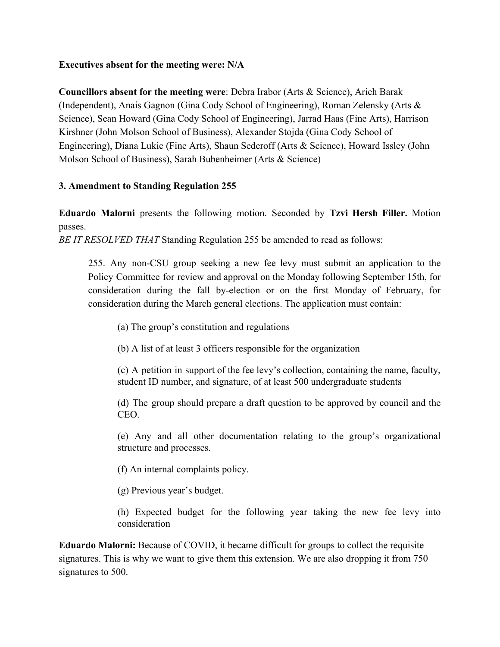### **Executives absent for the meeting were: N/A**

**Councillors absent for the meeting were**: Debra Irabor (Arts & Science), Arieh Barak (Independent), Anais Gagnon (Gina Cody School of Engineering), Roman Zelensky (Arts & Science), Sean Howard (Gina Cody School of Engineering), Jarrad Haas (Fine Arts), Harrison Kirshner (John Molson School of Business), Alexander Stojda (Gina Cody School of Engineering), Diana Lukic (Fine Arts), Shaun Sederoff (Arts & Science), Howard Issley (John Molson School of Business), Sarah Bubenheimer (Arts & Science)

# **3. Amendment to Standing Regulation 255**

**Eduardo Malorni** presents the following motion. Seconded by **Tzvi Hersh Filler.** Motion passes.

*BE IT RESOLVED THAT* Standing Regulation 255 be amended to read as follows:

255. Any non-CSU group seeking a new fee levy must submit an application to the Policy Committee for review and approval on the Monday following September 15th, for consideration during the fall by-election or on the first Monday of February, for consideration during the March general elections. The application must contain:

- (a) The group's constitution and regulations
- (b) A list of at least 3 officers responsible for the organization

(c) A petition in support of the fee levy's collection, containing the name, faculty, student ID number, and signature, of at least 500 undergraduate students

(d) The group should prepare a draft question to be approved by council and the CEO.

(e) Any and all other documentation relating to the group's organizational structure and processes.

(f) An internal complaints policy.

(g) Previous year's budget.

(h) Expected budget for the following year taking the new fee levy into consideration

**Eduardo Malorni:** Because of COVID, it became difficult for groups to collect the requisite signatures. This is why we want to give them this extension. We are also dropping it from 750 signatures to 500.